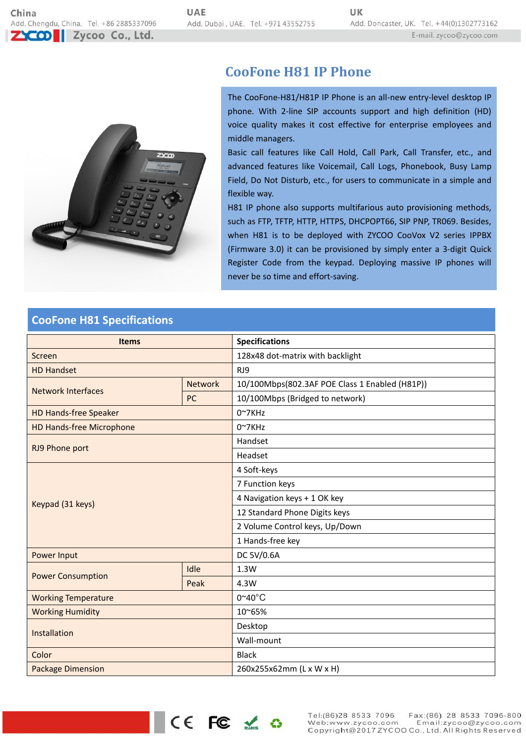

# **CooFone H81 IP Phone**

The CooFone-H81/H81P IP Phone is an all-new entry-level desktop IP phone. With 2-line SIP accounts support and high definition (HD) voice quality makes it cost effective for enterprise employees and middle managers.

Basic call features like Call Hold, Call Park, Call Transfer, etc., and advanced features like Voicemail, Call Logs, Phonebook, Busy Lamp Field, Do Not Disturb, etc., for users to communicate in a simple and flexible way.

H81 IP phone also supports multifarious auto provisioning methods, such as FTP, TFTP, HTTP, HTTPS, DHCPOPT66, SIP PNP, TR069. Besides, when H81 is to be deployed with ZYCOO CooVox V2 series IPPBX (Firmware 3.0) it can be provisioned by simply enter a 3-digit Quick Register Code from the keypad. Deploying massive IP phones will never be so time and effort-saving.

### **CooFone H81 Specifications**

| <b>Items</b>                    |                | <b>Specifications</b>                          |
|---------------------------------|----------------|------------------------------------------------|
| Screen                          |                | 128x48 dot-matrix with backlight               |
| <b>HD Handset</b>               |                | RJ9                                            |
| <b>Network Interfaces</b>       | <b>Network</b> | 10/100Mbps(802.3AF POE Class 1 Enabled (H81P)) |
|                                 | PC             | 10/100Mbps (Bridged to network)                |
| <b>HD Hands-free Speaker</b>    |                | $0^{\sim}7$ KHz                                |
| <b>HD Hands-free Microphone</b> |                | $0^{\sim}7$ KHz                                |
| RJ9 Phone port                  |                | Handset                                        |
|                                 |                | Headset                                        |
| Keypad (31 keys)                |                | 4 Soft-keys                                    |
|                                 |                | 7 Function keys                                |
|                                 |                | 4 Navigation keys + 1 OK key                   |
|                                 |                | 12 Standard Phone Digits keys                  |
|                                 |                | 2 Volume Control keys, Up/Down                 |
|                                 |                | 1 Hands-free key                               |
| Power Input                     |                | DC 5V/0.6A                                     |
| <b>Power Consumption</b>        | Idle           | 1.3W                                           |
|                                 | Peak           | 4.3W                                           |
| <b>Working Temperature</b>      |                | $0^{\sim}40^{\circ}$ C                         |
| <b>Working Humidity</b>         |                | 10~65%                                         |
| Installation                    |                | Desktop                                        |
|                                 |                | Wall-mount                                     |
| Color                           |                | <b>Black</b>                                   |
| <b>Package Dimension</b>        |                | 260x255x62mm (L x W x H)                       |